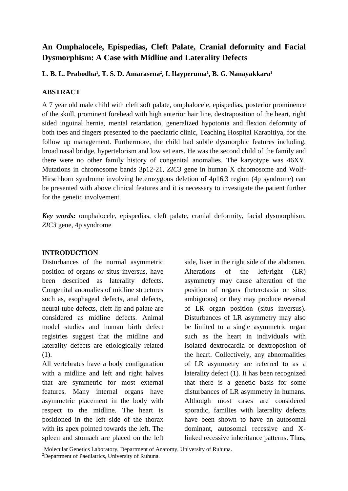# **An Omphalocele, Epispedias, Cleft Palate, Cranial deformity and Facial Dysmorphism: A Case with Midline and Laterality Defects**

**L. B. L. Prabodha<sup>1</sup> , T. S. D. Amarasena<sup>2</sup> , I. Ilayperuma<sup>1</sup> , B. G. Nanayakkara<sup>1</sup>**

# **ABSTRACT**

A 7 year old male child with cleft soft palate, omphalocele, epispedias, posterior prominence of the skull, prominent forehead with high anterior hair line, dextraposition of the heart, right sided inguinal hernia, mental retardation, generalized hypotonia and flexion deformity of both toes and fingers presented to the paediatric clinic, Teaching Hospital Karapitiya, for the follow up management. Furthermore, the child had subtle dysmorphic features including, broad nasal bridge, hypertelorism and low set ears. He was the second child of the family and there were no other family history of congenital anomalies. The karyotype was 46XY. Mutations in chromosome bands 3p12-21, *ZIC3* gene in human X chromosome and Wolf-Hirschhorn syndrome involving heterozygous deletion of 4p16.3 region (4p syndrome) can be presented with above clinical features and it is necessary to investigate the patient further for the genetic involvement.

*Key words:* omphalocele, epispedias, cleft palate, cranial deformity, facial dysmorphism, *ZIC3* gene, 4p syndrome

### **INTRODUCTION**

Disturbances of the normal asymmetric position of organs or situs inversus, have been described as laterality defects. Congenital anomalies of midline structures such as, esophageal defects, anal defects, neural tube defects, cleft lip and palate are considered as midline defects. Animal model studies and human birth defect registries suggest that the midline and laterality defects are etiologically related (1).

All vertebrates have a body configuration with a midline and left and right halves that are symmetric for most external features. Many internal organs have asymmetric placement in the body with respect to the midline. The heart is positioned in the left side of the thorax with its apex pointed towards the left. The spleen and stomach are placed on the left side, liver in the right side of the abdomen. Alterations of the left/right (LR) asymmetry may cause alteration of the position of organs (heterotaxia or situs ambiguous) or they may produce reversal of LR organ position (situs inversus). Disturbances of LR asymmetry may also be limited to a single asymmetric organ such as the heart in individuals with isolated dextrocardia or dextropositon of the heart. Collectively, any abnormalities of LR asymmetry are referred to as a laterality defect (1). It has been recognized that there is a genetic basis for some disturbances of LR asymmetry in humans. Although most cases are considered sporadic, families with laterality defects have been shown to have an autosomal dominant, autosomal recessive and Xlinked recessive inheritance patterns. Thus,

<sup>1</sup>Molecular Genetics Laboratory, Department of Anatomy, University of Ruhuna.

<sup>2</sup>Department of Paediatrics, University of Ruhuna.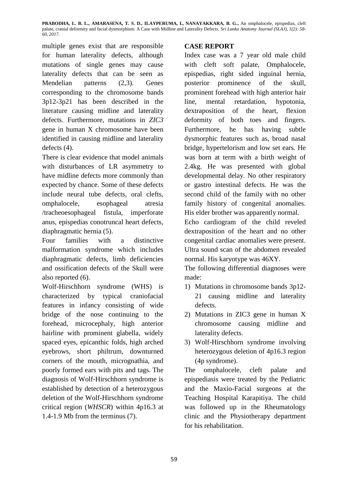**PRABODHA, L. B. L., AMARASENA, T. S. D., ILAYPERUMA, I., NANAYAKKARA, B. G.,** An omphalocele, epispedias, cleft palate, cranial deformity and facial dysmorphism: A Case with Midline and Laterality Defects. *Sri Lanka Anatomy Journal (SLAJ), 1(2): 58- 60, 2017.*

multiple genes exist that are responsible for human laterality defects, although mutations of single genes may cause laterality defects that can be seen as Mendelian patterns (2,3). Genes corresponding to the chromosome bands 3p12-3p21 has been described in the literature causing midline and laterality defects. Furthermore, mutations in *ZIC3* gene in human X chromosome have been identified in causing midline and laterality defects (4).

There is clear evidence that model animals with disturbances of LR asymmetry to have midline defects more commonly than expected by chance. Some of these defects include neural tube defects, oral clefts, omphalocele, esophageal atresia /tracheoesophageal fistula, imperforate anus, epispedias conotruncal heart defects, diaphragmatic hernia (5).

Four families with a distinctive malformation syndrome which includes diaphragmatic defects, limb deficiencies and ossification defects of the Skull were also reported (6).

Wolf-Hirschhorn syndrome (WHS) is characterized by typical craniofacial features in infancy consisting of wide bridge of the nose continuing to the forehead, microcephaly, high anterior hairline with prominent glabella, widely spaced eyes, epicanthic folds, high arched eyebrows, short philtrum, downturned corners of the mouth, micrognathia, and poorly formed ears with pits and tags. The diagnosis of Wolf-Hirschhorn syndrome is established by detection of a heterozygous deletion of the Wolf-Hirschhorn syndrome critical region (*WHSCR*) within 4p16.3 at 1.4-1.9 Mb from the terminus (7).

## **CASE REPORT**

Index case was a 7 year old male child with cleft soft palate, Omphalocele, epispedias, right sided inguinal hernia, posterior prominence of the skull, prominent forehead with high anterior hair line, mental retardation, hypotonia, dextraposition of the heart, flexion deformity of both toes and fingers. Furthermore, he has having subtle dysmorphic features such as, broad nasal bridge, hypertelorism and low set ears. He was born at term with a birth weight of 2.4kg. He was presented with global developmental delay. No other respiratory or gastro intestinal defects. He was the second child of the family with no other family history of congenital anomalies. His elder brother was apparently normal.

Echo cardiogram of the child reveled dextraposition of the heart and no other congenital cardiac anomalies were present. Ultra sound scan of the abdomen revealed normal. His karyotype was 46XY.

The following differential diagnoses were made:

- 1) Mutations in chromosome bands 3p12- 21 causing midline and laterality defects.
- 2) Mutations in ZIC3 gene in human X chromosome causing midline and laterality defects.
- 3) Wolf-Hirschhorn syndrome involving heterozygous deletion of 4p16.3 region (4p syndrome).

The omphalocele, cleft palate and epispediasis were treated by the Pediatric and the Maxio-Facial surgeons at the Teaching Hospital Karapitiya. The child was followed up in the Rheumatology clinic and the Physiotherapy department for his rehabilitation.